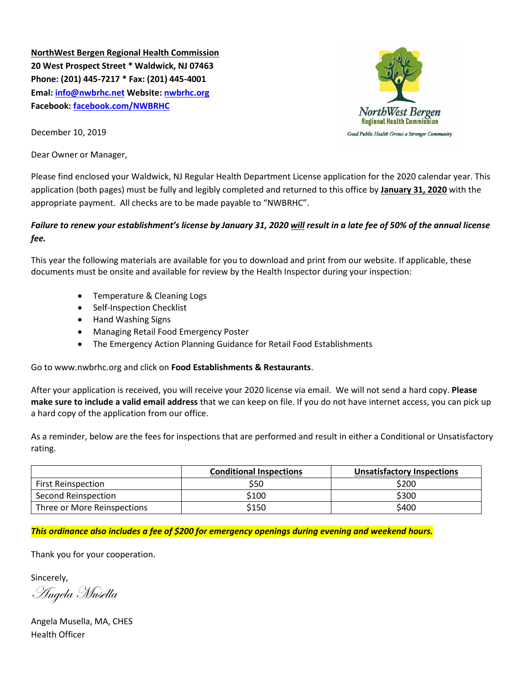**NorthWest Bergen Regional Health Commission 20 West Prospect Street \* Waldwick, NJ 07463 Phone: (201) 445-7217 \* Fax: (201) 445-4001 Emal: [info@nwbrhc.net](mailto:info@nwbrhc.net) Website: [nwbrhc.org](http://www.nwbrhc.org/) Facebook: [facebook.com/NWBRHC](http://www.facebook.com/NWBRHC)**



December 10, 2019

Dear Owner or Manager,

Please find enclosed your Waldwick, NJ Regular Health Department License application for the 2020 calendar year. This application (both pages) must be fully and legibly completed and returned to this office by **January 31, 2020** with the appropriate payment. All checks are to be made payable to "NWBRHC".

# *Failure to renew your establishment's license by January 31, 2020 will result in a late fee of 50% of the annual license fee.*

This year the following materials are available for you to download and print from our website. If applicable, these documents must be onsite and available for review by the Health Inspector during your inspection:

- Temperature & Cleaning Logs
- Self-Inspection Checklist
- Hand Washing Signs
- Managing Retail Food Emergency Poster
- The Emergency Action Planning Guidance for Retail Food Establishments

Go to www.nwbrhc.org and click on **Food Establishments & Restaurants**.

After your application is received, you will receive your 2020 license via email. We will not send a hard copy. **Please make sure to include a valid email address** that we can keep on file. If you do not have internet access, you can pick up a hard copy of the application from our office.

As a reminder, below are the fees for inspections that are performed and result in either a Conditional or Unsatisfactory rating.

|                             | <b>Conditional Inspections</b> | <b>Unsatisfactory Inspections</b> |  |
|-----------------------------|--------------------------------|-----------------------------------|--|
| <b>First Reinspection</b>   | \$50                           | \$200                             |  |
| Second Reinspection         | \$100                          | \$300                             |  |
| Three or More Reinspections | \$150                          | \$400                             |  |

*This ordinance also includes a fee of \$200 for emergency openings during evening and weekend hours.*

Thank you for your cooperation.

Sincerely,

Angela Musella

Angela Musella, MA, CHES Health Officer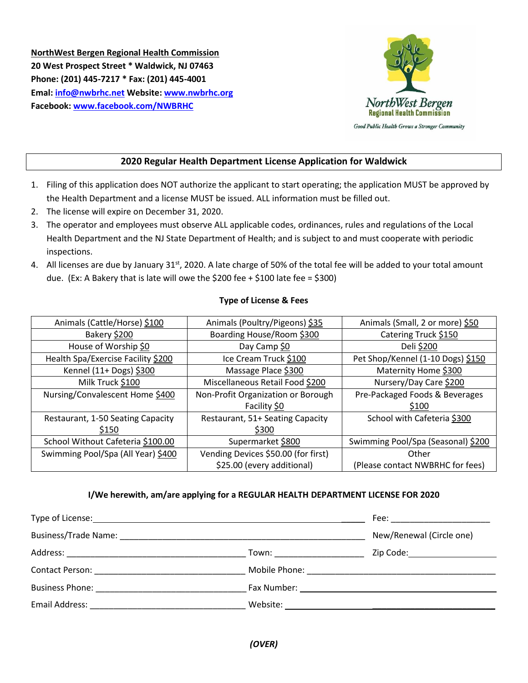**NorthWest Bergen Regional Health Commission 20 West Prospect Street \* Waldwick, NJ 07463 Phone: (201) 445-7217 \* Fax: (201) 445-4001 Emal: [info@nwbrhc.net](mailto:info@nwbrhc.net) Website: [www.nwbrhc.org](http://www.nwbrhc.org/) Facebook: [www.facebook.com/NWBRHC](http://www.facebook.com/NWBRHC)**



### **2020 Regular Health Department License Application for Waldwick**

- 1. Filing of this application does NOT authorize the applicant to start operating; the application MUST be approved by the Health Department and a license MUST be issued. ALL information must be filled out.
- 2. The license will expire on December 31, 2020.
- 3. The operator and employees must observe ALL applicable codes, ordinances, rules and regulations of the Local Health Department and the NJ State Department of Health; and is subject to and must cooperate with periodic inspections.
- 4. All licenses are due by January 31<sup>st</sup>, 2020. A late charge of 50% of the total fee will be added to your total amount due. (Ex: A Bakery that is late will owe the \$200 fee + \$100 late fee = \$300)

#### **Type of License & Fees**

| Animals (Cattle/Horse) \$100       | Animals (Poultry/Pigeons) \$35               | Animals (Small, 2 or more) \$50    |  |
|------------------------------------|----------------------------------------------|------------------------------------|--|
| Bakery \$200                       | Boarding House/Room \$300                    | Catering Truck \$150               |  |
| House of Worship \$0               | Day Camp \$0                                 | Deli \$200                         |  |
| Health Spa/Exercise Facility \$200 | Ice Cream Truck \$100                        | Pet Shop/Kennel (1-10 Dogs) \$150  |  |
| Kennel (11+ Dogs) \$300            | Massage Place \$300                          | Maternity Home \$300               |  |
| Milk Truck \$100                   | Miscellaneous Retail Food \$200              | Nursery/Day Care \$200             |  |
| Nursing/Convalescent Home \$400    | Non-Profit Organization or Borough           | Pre-Packaged Foods & Beverages     |  |
|                                    | Facility \$0                                 | \$100                              |  |
| Restaurant, 1-50 Seating Capacity  | Restaurant, 51+ Seating Capacity             | School with Cafeteria \$300        |  |
| \$150                              | \$300                                        |                                    |  |
| School Without Cafeteria \$100.00  | Supermarket \$800                            | Swimming Pool/Spa (Seasonal) \$200 |  |
| Swimming Pool/Spa (All Year) \$400 | Vending Devices \$50.00 (for first)<br>Other |                                    |  |
|                                    | \$25.00 (every additional)                   | (Please contact NWBRHC for fees)   |  |

### **I/We herewith, am/are applying for a REGULAR HEALTH DEPARTMENT LICENSE FOR 2020**

| Type of License: Type of License:                                                                                                                                                                                              | Fee: _________________________                 |                                |
|--------------------------------------------------------------------------------------------------------------------------------------------------------------------------------------------------------------------------------|------------------------------------------------|--------------------------------|
| Business/Trade Name: Name and Separate and Separate and Separate and Separate and Separate and Separate and Separate and Separate and Separate and Separate and Separate and Separate and Separate and Separate and Separate a | New/Renewal (Circle one)                       |                                |
|                                                                                                                                                                                                                                | Town: _____________________                    | Zip Code:_____________________ |
| Contact Person: The Contact Person:                                                                                                                                                                                            |                                                |                                |
|                                                                                                                                                                                                                                | Fax Number: <u>___________________________</u> |                                |
| Email Address:                                                                                                                                                                                                                 | Website:                                       |                                |